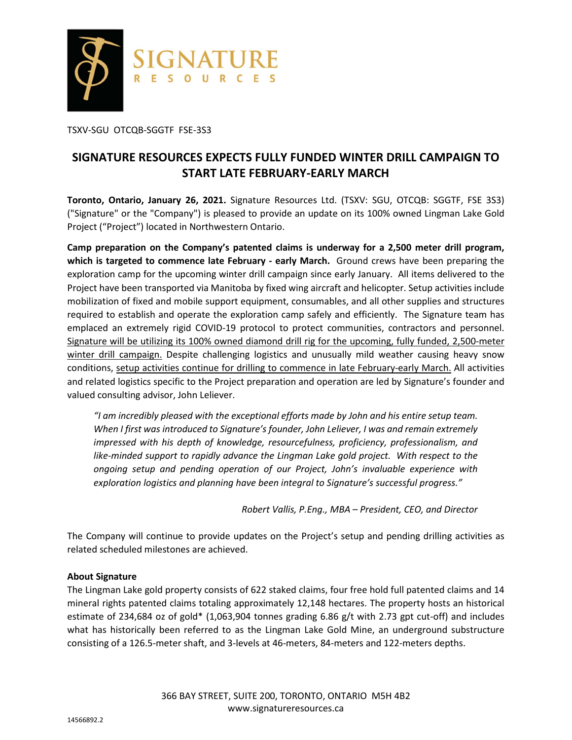

TSXV-SGU OTCQB-SGGTF FSE-3S3

# **SIGNATURE RESOURCES EXPECTS FULLY FUNDED WINTER DRILL CAMPAIGN TO START LATE FEBRUARY-EARLY MARCH**

**Toronto, Ontario, January 26, 2021.** Signature Resources Ltd. (TSXV: SGU, OTCQB: SGGTF, FSE 3S3) ("Signature" or the "Company") is pleased to provide an update on its 100% owned Lingman Lake Gold Project ("Project") located in Northwestern Ontario.

**Camp preparation on the Company's patented claims is underway for a 2,500 meter drill program, which is targeted to commence late February - early March.** Ground crews have been preparing the exploration camp for the upcoming winter drill campaign since early January. All items delivered to the Project have been transported via Manitoba by fixed wing aircraft and helicopter. Setup activities include mobilization of fixed and mobile support equipment, consumables, and all other supplies and structures required to establish and operate the exploration camp safely and efficiently. The Signature team has emplaced an extremely rigid COVID-19 protocol to protect communities, contractors and personnel. Signature will be utilizing its 100% owned diamond drill rig for the upcoming, fully funded, 2,500-meter winter drill campaign. Despite challenging logistics and unusually mild weather causing heavy snow conditions, setup activities continue for drilling to commence in late February-early March. All activities and related logistics specific to the Project preparation and operation are led by Signature's founder and valued consulting advisor, John Leliever.

*"I am incredibly pleased with the exceptional efforts made by John and his entire setup team. When I first was introduced to Signature's founder, John Leliever, I was and remain extremely impressed with his depth of knowledge, resourcefulness, proficiency, professionalism, and*  like-minded support to rapidly advance the Lingman Lake gold project. With respect to the *ongoing setup and pending operation of our Project, John's invaluable experience with exploration logistics and planning have been integral to Signature's successful progress."* 

*Robert Vallis, P.Eng., MBA – President, CEO, and Director* 

The Company will continue to provide updates on the Project's setup and pending drilling activities as related scheduled milestones are achieved.

## **About Signature**

The Lingman Lake gold property consists of 622 staked claims, four free hold full patented claims and 14 mineral rights patented claims totaling approximately 12,148 hectares. The property hosts an historical estimate of 234,684 oz of gold\* (1,063,904 tonnes grading 6.86 g/t with 2.73 gpt cut-off) and includes what has historically been referred to as the Lingman Lake Gold Mine, an underground substructure consisting of a 126.5-meter shaft, and 3-levels at 46-meters, 84-meters and 122-meters depths.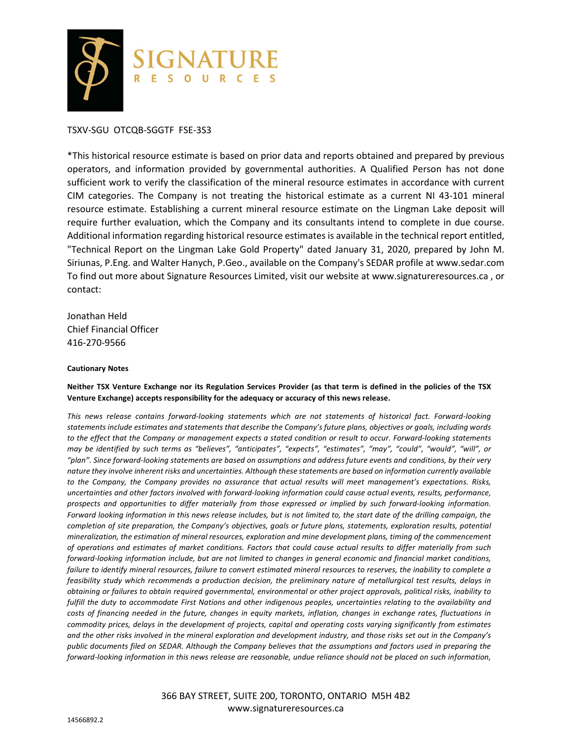

## TSXV-SGU OTCQB-SGGTF FSE-3S3

\*This historical resource estimate is based on prior data and reports obtained and prepared by previous operators, and information provided by governmental authorities. A Qualified Person has not done sufficient work to verify the classification of the mineral resource estimates in accordance with current CIM categories. The Company is not treating the historical estimate as a current NI 43-101 mineral resource estimate. Establishing a current mineral resource estimate on the Lingman Lake deposit will require further evaluation, which the Company and its consultants intend to complete in due course. Additional information regarding historical resource estimates is available in the technical report entitled, "Technical Report on the Lingman Lake Gold Property" dated January 31, 2020, prepared by John M. Siriunas, P.Eng. and Walter Hanych, P.Geo., available on the Company's SEDAR profile at www.sedar.com To find out more about Signature Resources Limited, visit our website at www.signatureresources.ca , or contact:

Jonathan Held Chief Financial Officer 416-270-9566

#### **Cautionary Notes**

### **Neither TSX Venture Exchange nor its Regulation Services Provider (as that term is defined in the policies of the TSX Venture Exchange) accepts responsibility for the adequacy or accuracy of this news release.**

*This news release contains forward-looking statements which are not statements of historical fact. Forward-looking statements include estimates and statements that describe the Company's future plans, objectives or goals, including words to the effect that the Company or management expects a stated condition or result to occur. Forward-looking statements may be identified by such terms as "believes", "anticipates", "expects", "estimates", "may", "could", "would", "will", or "plan". Since forward-looking statements are based on assumptions and address future events and conditions, by their very nature they involve inherent risks and uncertainties. Although these statements are based on information currently available to the Company, the Company provides no assurance that actual results will meet management's expectations. Risks, uncertainties and other factors involved with forward-looking information could cause actual events, results, performance, prospects and opportunities to differ materially from those expressed or implied by such forward-looking information. Forward looking information in this news release includes, but is not limited to, the start date of the drilling campaign, the completion of site preparation, the Company's objectives, goals or future plans, statements, exploration results, potential mineralization, the estimation of mineral resources, exploration and mine development plans, timing of the commencement of operations and estimates of market conditions. Factors that could cause actual results to differ materially from such forward-looking information include, but are not limited to changes in general economic and financial market conditions, failure to identify mineral resources, failure to convert estimated mineral resources to reserves, the inability to complete a feasibility study which recommends a production decision, the preliminary nature of metallurgical test results, delays in obtaining or failures to obtain required governmental, environmental or other project approvals, political risks, inability to fulfill the duty to accommodate First Nations and other indigenous peoples, uncertainties relating to the availability and costs of financing needed in the future, changes in equity markets, inflation, changes in exchange rates, fluctuations in commodity prices, delays in the development of projects, capital and operating costs varying significantly from estimates and the other risks involved in the mineral exploration and development industry, and those risks set out in the Company's public documents filed on SEDAR. Although the Company believes that the assumptions and factors used in preparing the forward-looking information in this news release are reasonable, undue reliance should not be placed on such information,* 

> 366 BAY STREET, SUITE 200, TORONTO, ONTARIO M5H 4B2 www.signatureresources.ca